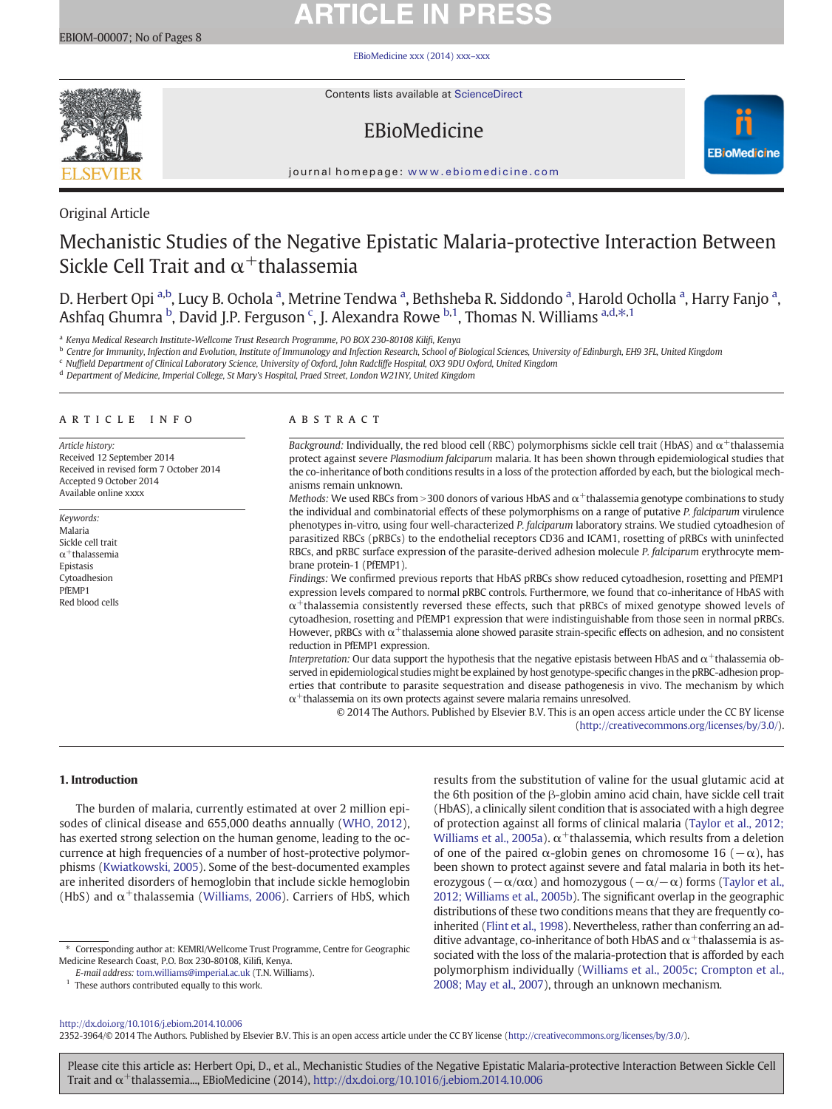# **ARTICLE IN PRESS**

#### [EBioMedicine xxx \(2014\) xxx](http://dx.doi.org/10.1016/j.ebiom.2014.10.006)–xxx



Contents lists available at [ScienceDirect](http://www.sciencedirect.com/science/journal/03064603)

## EBioMedicine



journal homepage: <www.ebiomedicine.com>

### Original Article

## Mechanistic Studies of the Negative Epistatic Malaria-protective Interaction Between Sickle Cell Trait and  $\alpha^+$ thalassemia

D. Herbert Opi <sup>a,b</sup>, Lucy B. Ochola <sup>a</sup>, Metrine Tendwa <sup>a</sup>, Bethsheba R. Siddondo <sup>a</sup>, Harold Ocholla <sup>a</sup>, Harry Fanjo <sup>a</sup>, Ashfaq Ghumra <sup>b</sup>, David J.P. Ferguson <sup>c</sup>, J. Alexandra Rowe <sup>b,1</sup>, Thomas N. Williams <sup>a,d,\*,1</sup>

a Kenya Medical Research Institute-Wellcome Trust Research Programme, PO BOX 230-80108 Kilifi, Kenya

**b** Centre for Immunity, Infection and Evolution, Institute of Immunology and Infection Research, School of Biological Sciences, University of Edinburgh, EH9 3FL, United Kingdom

<sup>c</sup> Nuffield Department of Clinical Laboratory Science, University of Oxford, John Radcliffe Hospital, OX3 9DU Oxford, United Kingdom

<sup>d</sup> Department of Medicine, Imperial College, St Mary's Hospital, Praed Street, London W21NY, United Kingdom

#### article info abstract

Article history: Received 12 September 2014 Received in revised form 7 October 2014 Accepted 9 October 2014 Available online xxxx

Keywords: Malaria Sickle cell trait  $\alpha^+$ thalassemia Epistasis Cytoadhesion PfEMP1 Red blood cells

Background: Individually, the red blood cell (RBC) polymorphisms sickle cell trait (HbAS) and  $\alpha^+$ thalassemia protect against severe Plasmodium falciparum malaria. It has been shown through epidemiological studies that the co-inheritance of both conditions results in a loss of the protection afforded by each, but the biological mechanisms remain unknown.

Methods: We used RBCs from  $>$ 300 donors of various HbAS and  $\alpha$ <sup>+</sup>thalassemia genotype combinations to study the individual and combinatorial effects of these polymorphisms on a range of putative P. falciparum virulence phenotypes in-vitro, using four well-characterized P. falciparum laboratory strains. We studied cytoadhesion of parasitized RBCs (pRBCs) to the endothelial receptors CD36 and ICAM1, rosetting of pRBCs with uninfected RBCs, and pRBC surface expression of the parasite-derived adhesion molecule P. falciparum erythrocyte membrane protein-1 (PfEMP1).

Findings: We confirmed previous reports that HbAS pRBCs show reduced cytoadhesion, rosetting and PfEMP1 expression levels compared to normal pRBC controls. Furthermore, we found that co-inheritance of HbAS with  $\alpha$ <sup>+</sup>thalassemia consistently reversed these effects, such that pRBCs of mixed genotype showed levels of cytoadhesion, rosetting and PfEMP1 expression that were indistinguishable from those seen in normal pRBCs. However, pRBCs with  $\alpha^+$ thalassemia alone showed parasite strain-specific effects on adhesion, and no consistent reduction in PfEMP1 expression.

Interpretation: Our data support the hypothesis that the negative epistasis between HbAS and  $\alpha^+$ thalassemia observed in epidemiological studies might be explained by host genotype-specific changes in the pRBC-adhesion properties that contribute to parasite sequestration and disease pathogenesis in vivo. The mechanism by which  $\alpha^+$ thalassemia on its own protects against severe malaria remains unresolved.

© 2014 The Authors. Published by Elsevier B.V. This is an open access article under the CC BY license [\(http://creativecommons.org/licenses/by/3.0/\)](http://creativecommons.org/licenses/by/3.0/).

#### 1. Introduction

The burden of malaria, currently estimated at over 2 million episodes of clinical disease and 655,000 deaths annually [\(WHO, 2012](#page-7-0)), has exerted strong selection on the human genome, leading to the occurrence at high frequencies of a number of host-protective polymorphisms ([Kwiatkowski, 2005](#page-7-0)). Some of the best-documented examples are inherited disorders of hemoglobin that include sickle hemoglobin (HbS) and  $\alpha^+$ thalassemia ([Williams, 2006\)](#page-7-0). Carriers of HbS, which

 $^{\rm 1}$  These authors contributed equally to this work.

results from the substitution of valine for the usual glutamic acid at the 6th position of the β-globin amino acid chain, have sickle cell trait (HbAS), a clinically silent condition that is associated with a high degree of protection against all forms of clinical malaria ([Taylor et al., 2012;](#page-7-0) [Williams et al., 2005a\)](#page-7-0).  $\alpha^+$ thalassemia, which results from a deletion of one of the paired  $\alpha$ -globin genes on chromosome 16 ( $-\alpha$ ), has been shown to protect against severe and fatal malaria in both its heterozygous ( $-\alpha/\alpha\alpha$ ) and homozygous ( $-\alpha/-\alpha$ ) forms ([Taylor et al.,](#page-7-0) [2012; Williams et al., 2005b\)](#page-7-0). The significant overlap in the geographic distributions of these two conditions means that they are frequently coinherited [\(Flint et al., 1998\)](#page-7-0). Nevertheless, rather than conferring an additive advantage, co-inheritance of both HbAS and  $\alpha^+$ thalassemia is associated with the loss of the malaria-protection that is afforded by each polymorphism individually [\(Williams et al., 2005c; Crompton et al.,](#page-7-0) [2008; May et al., 2007](#page-7-0)), through an unknown mechanism.

<http://dx.doi.org/10.1016/j.ebiom.2014.10.006>

2352-3964/© 2014 The Authors. Published by Elsevier B.V. This is an open access article under the CC BY license [\(http://creativecommons.org/licenses/by/3.0/](http://creativecommons.org/licenses/by/3.0/)).

<sup>⁎</sup> Corresponding author at: KEMRI/Wellcome Trust Programme, Centre for Geographic Medicine Research Coast, P.O. Box 230-80108, Kilifi, Kenya.

E-mail address: [tom.williams@imperial.ac.uk](mailto:tom.williams@imperial.ac.uk) (T.N. Williams).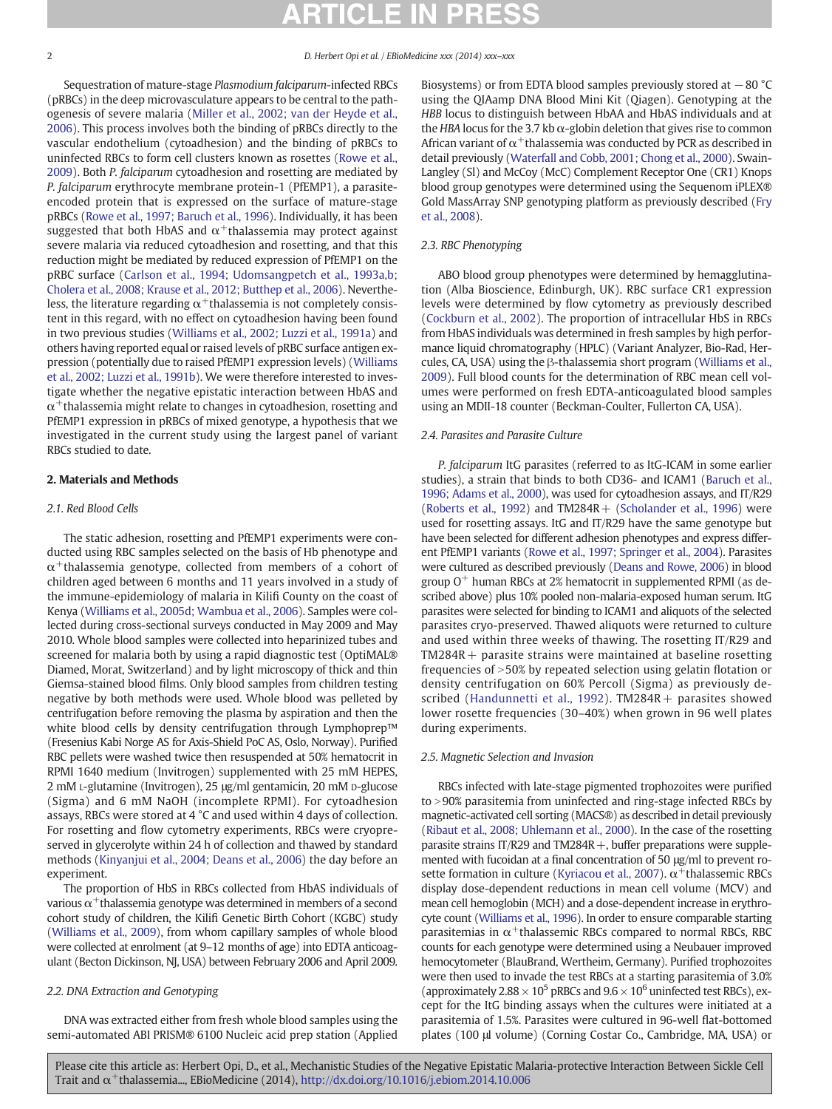<span id="page-1-0"></span>

Sequestration of mature-stage Plasmodium falciparum-infected RBCs (pRBCs) in the deep microvasculature appears to be central to the pathogenesis of severe malaria ([Miller et al., 2002; van der Heyde et al.,](#page-7-0) [2006\)](#page-7-0). This process involves both the binding of pRBCs directly to the vascular endothelium (cytoadhesion) and the binding of pRBCs to uninfected RBCs to form cell clusters known as rosettes ([Rowe et al.,](#page-7-0) [2009\)](#page-7-0). Both P. falciparum cytoadhesion and rosetting are mediated by P. falciparum erythrocyte membrane protein-1 (PfEMP1), a parasiteencoded protein that is expressed on the surface of mature-stage pRBCs [\(Rowe et al., 1997; Baruch et al., 1996\)](#page-7-0). Individually, it has been suggested that both HbAS and  $\alpha^+$ thalassemia may protect against severe malaria via reduced cytoadhesion and rosetting, and that this reduction might be mediated by reduced expression of PfEMP1 on the pRBC surface ([Carlson et al., 1994; Udomsangpetch et al., 1993a,b;](#page-6-0) [Cholera et al., 2008; Krause et al., 2012; Butthep et al., 2006\)](#page-6-0). Nevertheless, the literature regarding  $\alpha^+$ thalassemia is not completely consistent in this regard, with no effect on cytoadhesion having been found in two previous studies [\(Williams et al., 2002; Luzzi et al., 1991a\)](#page-7-0) and others having reported equal or raised levels of pRBC surface antigen expression (potentially due to raised PfEMP1 expression levels) [\(Williams](#page-7-0) [et al., 2002; Luzzi et al., 1991b\)](#page-7-0). We were therefore interested to investigate whether the negative epistatic interaction between HbAS and  $\alpha^+$ thalassemia might relate to changes in cytoadhesion, rosetting and PfEMP1 expression in pRBCs of mixed genotype, a hypothesis that we investigated in the current study using the largest panel of variant RBCs studied to date.

#### 2. Materials and Methods

#### 2.1. Red Blood Cells

The static adhesion, rosetting and PfEMP1 experiments were conducted using RBC samples selected on the basis of Hb phenotype and  $\alpha^+$ thalassemia genotype, collected from members of a cohort of children aged between 6 months and 11 years involved in a study of the immune-epidemiology of malaria in Kilifi County on the coast of Kenya [\(Williams et al., 2005d; Wambua et al., 2006](#page-7-0)). Samples were collected during cross-sectional surveys conducted in May 2009 and May 2010. Whole blood samples were collected into heparinized tubes and screened for malaria both by using a rapid diagnostic test (OptiMAL® Diamed, Morat, Switzerland) and by light microscopy of thick and thin Giemsa-stained blood films. Only blood samples from children testing negative by both methods were used. Whole blood was pelleted by centrifugation before removing the plasma by aspiration and then the white blood cells by density centrifugation through Lymphoprep™ (Fresenius Kabi Norge AS for Axis-Shield PoC AS, Oslo, Norway). Purified RBC pellets were washed twice then resuspended at 50% hematocrit in RPMI 1640 medium (Invitrogen) supplemented with 25 mM HEPES, 2 mM L-glutamine (Invitrogen), 25 μg/ml gentamicin, 20 mM D-glucose (Sigma) and 6 mM NaOH (incomplete RPMI). For cytoadhesion assays, RBCs were stored at 4 °C and used within 4 days of collection. For rosetting and flow cytometry experiments, RBCs were cryopreserved in glycerolyte within 24 h of collection and thawed by standard methods [\(Kinyanjui et al., 2004; Deans et al., 2006\)](#page-7-0) the day before an experiment.

The proportion of HbS in RBCs collected from HbAS individuals of various  $\alpha^+$ thalassemia genotype was determined in members of a second cohort study of children, the Kilifi Genetic Birth Cohort (KGBC) study [\(Williams et al., 2009\)](#page-7-0), from whom capillary samples of whole blood were collected at enrolment (at 9–12 months of age) into EDTA anticoagulant (Becton Dickinson, NJ, USA) between February 2006 and April 2009.

### 2.2. DNA Extraction and Genotyping

DNA was extracted either from fresh whole blood samples using the semi-automated ABI PRISM® 6100 Nucleic acid prep station (Applied Biosystems) or from EDTA blood samples previously stored at −80 °C using the QIAamp DNA Blood Mini Kit (Qiagen). Genotyping at the HBB locus to distinguish between HbAA and HbAS individuals and at the HBA locus for the 3.7 kb  $\alpha$ -globin deletion that gives rise to common African variant of  $\alpha^+$ thalassemia was conducted by PCR as described in detail previously ([Waterfall and Cobb, 2001; Chong et al., 2000](#page-7-0)). Swain-Langley (Sl) and McCoy (McC) Complement Receptor One (CR1) Knops blood group genotypes were determined using the Sequenom iPLEX® Gold MassArray SNP genotyping platform as previously described [\(Fry](#page-7-0) [et al., 2008](#page-7-0)).

#### 2.3. RBC Phenotyping

ABO blood group phenotypes were determined by hemagglutination (Alba Bioscience, Edinburgh, UK). RBC surface CR1 expression levels were determined by flow cytometry as previously described [\(Cockburn et al., 2002\)](#page-7-0). The proportion of intracellular HbS in RBCs from HbAS individuals was determined in fresh samples by high performance liquid chromatography (HPLC) (Variant Analyzer, Bio-Rad, Hercules, CA, USA) using the β-thalassemia short program [\(Williams et al.,](#page-7-0) [2009](#page-7-0)). Full blood counts for the determination of RBC mean cell volumes were performed on fresh EDTA-anticoagulated blood samples using an MDII-18 counter (Beckman-Coulter, Fullerton CA, USA).

#### 2.4. Parasites and Parasite Culture

P. falciparum ItG parasites (referred to as ItG-ICAM in some earlier studies), a strain that binds to both CD36- and ICAM1 [\(Baruch et al.,](#page-6-0) [1996; Adams et al., 2000\)](#page-6-0), was used for cytoadhesion assays, and IT/R29 [\(Roberts et al., 1992](#page-7-0)) and TM284R+ [\(Scholander et al., 1996](#page-7-0)) were used for rosetting assays. ItG and IT/R29 have the same genotype but have been selected for different adhesion phenotypes and express different PfEMP1 variants ([Rowe et al., 1997; Springer et al., 2004](#page-7-0)). Parasites were cultured as described previously [\(Deans and Rowe, 2006\)](#page-7-0) in blood group  $O^+$  human RBCs at 2% hematocrit in supplemented RPMI (as described above) plus 10% pooled non-malaria-exposed human serum. ItG parasites were selected for binding to ICAM1 and aliquots of the selected parasites cryo-preserved. Thawed aliquots were returned to culture and used within three weeks of thawing. The rosetting IT/R29 and  $TM284R +$  parasite strains were maintained at baseline rosetting frequencies of  $>50\%$  by repeated selection using gelatin flotation or density centrifugation on 60% Percoll (Sigma) as previously de-scribed ([Handunnetti et al., 1992\)](#page-7-0). TM284R + parasites showed lower rosette frequencies (30–40%) when grown in 96 well plates during experiments.

#### 2.5. Magnetic Selection and Invasion

RBCs infected with late-stage pigmented trophozoites were purified to >90% parasitemia from uninfected and ring-stage infected RBCs by magnetic-activated cell sorting (MACS®) as described in detail previously [\(Ribaut et al., 2008; Uhlemann et al., 2000](#page-7-0)). In the case of the rosetting parasite strains IT/R29 and TM284R+, buffer preparations were supplemented with fucoidan at a final concentration of 50 μg/ml to prevent ro-sette formation in culture [\(Kyriacou et al., 2007](#page-7-0)).  $\alpha^+$ thalassemic RBCs display dose-dependent reductions in mean cell volume (MCV) and mean cell hemoglobin (MCH) and a dose-dependent increase in erythrocyte count [\(Williams et al., 1996\)](#page-7-0). In order to ensure comparable starting parasitemias in  $\alpha^+$ thalassemic RBCs compared to normal RBCs, RBC counts for each genotype were determined using a Neubauer improved hemocytometer (BlauBrand, Wertheim, Germany). Purified trophozoites were then used to invade the test RBCs at a starting parasitemia of 3.0% (approximately  $2.88 \times 10^5$  pRBCs and  $9.6 \times 10^6$  uninfected test RBCs), except for the ItG binding assays when the cultures were initiated at a parasitemia of 1.5%. Parasites were cultured in 96-well flat-bottomed plates (100 μl volume) (Corning Costar Co., Cambridge, MA, USA) or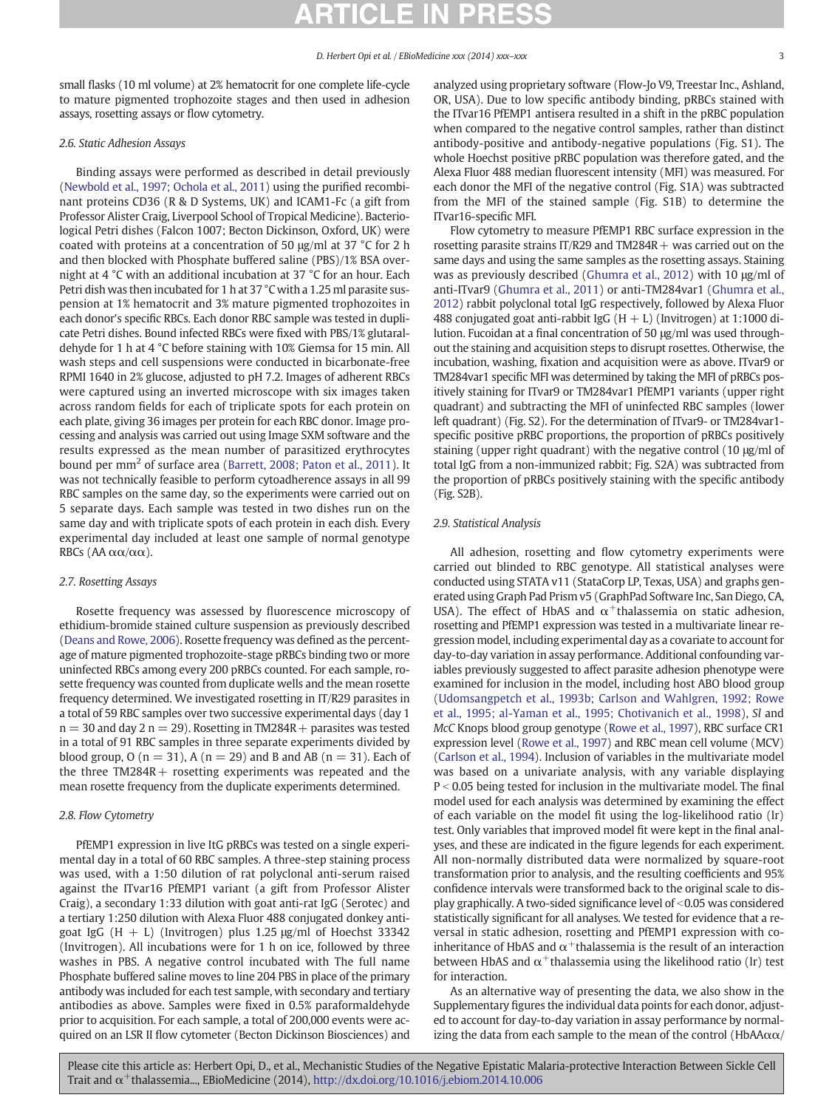small flasks (10 ml volume) at 2% hematocrit for one complete life-cycle to mature pigmented trophozoite stages and then used in adhesion assays, rosetting assays or flow cytometry.

#### 2.6. Static Adhesion Assays

Binding assays were performed as described in detail previously [\(Newbold et al., 1997; Ochola et al., 2011\)](#page-7-0) using the purified recombinant proteins CD36 (R & D Systems, UK) and ICAM1-Fc (a gift from Professor Alister Craig, Liverpool School of Tropical Medicine). Bacteriological Petri dishes (Falcon 1007; Becton Dickinson, Oxford, UK) were coated with proteins at a concentration of 50 μg/ml at 37 °C for 2 h and then blocked with Phosphate buffered saline (PBS)/1% BSA overnight at 4 °C with an additional incubation at 37 °C for an hour. Each Petri dish was then incubated for 1 h at 37 °C with a 1.25 ml parasite suspension at 1% hematocrit and 3% mature pigmented trophozoites in each donor's specific RBCs. Each donor RBC sample was tested in duplicate Petri dishes. Bound infected RBCs were fixed with PBS/1% glutaraldehyde for 1 h at 4 °C before staining with 10% Giemsa for 15 min. All wash steps and cell suspensions were conducted in bicarbonate-free RPMI 1640 in 2% glucose, adjusted to pH 7.2. Images of adherent RBCs were captured using an inverted microscope with six images taken across random fields for each of triplicate spots for each protein on each plate, giving 36 images per protein for each RBC donor. Image processing and analysis was carried out using Image SXM software and the results expressed as the mean number of parasitized erythrocytes bound per mm<sup>2</sup> of surface area [\(Barrett, 2008; Paton et al., 2011](#page-6-0)). It was not technically feasible to perform cytoadherence assays in all 99 RBC samples on the same day, so the experiments were carried out on 5 separate days. Each sample was tested in two dishes run on the same day and with triplicate spots of each protein in each dish. Every experimental day included at least one sample of normal genotype RBCs (AA  $\alpha\alpha/\alpha\alpha$ ).

#### 2.7. Rosetting Assays

Rosette frequency was assessed by fluorescence microscopy of ethidium-bromide stained culture suspension as previously described [\(Deans and Rowe, 2006](#page-7-0)). Rosette frequency was defined as the percentage of mature pigmented trophozoite-stage pRBCs binding two or more uninfected RBCs among every 200 pRBCs counted. For each sample, rosette frequency was counted from duplicate wells and the mean rosette frequency determined. We investigated rosetting in IT/R29 parasites in a total of 59 RBC samples over two successive experimental days (day 1  $n = 30$  and day 2 n = 29). Rosetting in TM284R + parasites was tested in a total of 91 RBC samples in three separate experiments divided by blood group,  $O(n = 31)$ ,  $A(n = 29)$  and B and AB  $(n = 31)$ . Each of the three  $TM284R +$  rosetting experiments was repeated and the mean rosette frequency from the duplicate experiments determined.

### 2.8. Flow Cytometry

PfEMP1 expression in live ItG pRBCs was tested on a single experimental day in a total of 60 RBC samples. A three-step staining process was used, with a 1:50 dilution of rat polyclonal anti-serum raised against the ITvar16 PfEMP1 variant (a gift from Professor Alister Craig), a secondary 1:33 dilution with goat anti-rat IgG (Serotec) and a tertiary 1:250 dilution with Alexa Fluor 488 conjugated donkey antigoat IgG  $(H + L)$  (Invitrogen) plus 1.25  $\mu$ g/ml of Hoechst 33342 (Invitrogen). All incubations were for 1 h on ice, followed by three washes in PBS. A negative control incubated with The full name Phosphate buffered saline moves to line 204 PBS in place of the primary antibody was included for each test sample, with secondary and tertiary antibodies as above. Samples were fixed in 0.5% paraformaldehyde prior to acquisition. For each sample, a total of 200,000 events were acquired on an LSR II flow cytometer (Becton Dickinson Biosciences) and analyzed using proprietary software (Flow-Jo V9, Treestar Inc., Ashland, OR, USA). Due to low specific antibody binding, pRBCs stained with the ITvar16 PfEMP1 antisera resulted in a shift in the pRBC population when compared to the negative control samples, rather than distinct antibody-positive and antibody-negative populations (Fig. S1). The whole Hoechst positive pRBC population was therefore gated, and the Alexa Fluor 488 median fluorescent intensity (MFI) was measured. For each donor the MFI of the negative control (Fig. S1A) was subtracted from the MFI of the stained sample (Fig. S1B) to determine the ITvar16-specific MFI.

Flow cytometry to measure PfEMP1 RBC surface expression in the rosetting parasite strains IT/R29 and TM284R  $+$  was carried out on the same days and using the same samples as the rosetting assays. Staining was as previously described [\(Ghumra et al., 2012\)](#page-7-0) with 10 μg/ml of anti-ITvar9 ([Ghumra et al., 2011](#page-7-0)) or anti-TM284var1 ([Ghumra et al.,](#page-7-0) [2012](#page-7-0)) rabbit polyclonal total IgG respectively, followed by Alexa Fluor 488 conjugated goat anti-rabbit IgG  $(H + L)$  (Invitrogen) at 1:1000 dilution. Fucoidan at a final concentration of 50 μg/ml was used throughout the staining and acquisition steps to disrupt rosettes. Otherwise, the incubation, washing, fixation and acquisition were as above. ITvar9 or TM284var1 specific MFI was determined by taking the MFI of pRBCs positively staining for ITvar9 or TM284var1 PfEMP1 variants (upper right quadrant) and subtracting the MFI of uninfected RBC samples (lower left quadrant) (Fig. S2). For the determination of ITvar9- or TM284var1 specific positive pRBC proportions, the proportion of pRBCs positively staining (upper right quadrant) with the negative control (10 μg/ml of total IgG from a non-immunized rabbit; Fig. S2A) was subtracted from the proportion of pRBCs positively staining with the specific antibody (Fig. S2B).

#### 2.9. Statistical Analysis

All adhesion, rosetting and flow cytometry experiments were carried out blinded to RBC genotype. All statistical analyses were conducted using STATA v11 (StataCorp LP, Texas, USA) and graphs generated using Graph Pad Prism v5 (GraphPad Software Inc, San Diego, CA, USA). The effect of HbAS and  $\alpha^+$ thalassemia on static adhesion, rosetting and PfEMP1 expression was tested in a multivariate linear regression model, including experimental day as a covariate to account for day-to-day variation in assay performance. Additional confounding variables previously suggested to affect parasite adhesion phenotype were examined for inclusion in the model, including host ABO blood group [\(Udomsangpetch et al., 1993b; Carlson and Wahlgren, 1992; Rowe](#page-7-0) [et al., 1995; al-Yaman et al., 1995; Chotivanich et al., 1998\)](#page-7-0), Sl and McC Knops blood group genotype ([Rowe et al., 1997\)](#page-7-0), RBC surface CR1 expression level ([Rowe et al., 1997\)](#page-7-0) and RBC mean cell volume (MCV) [\(Carlson et al., 1994\)](#page-6-0). Inclusion of variables in the multivariate model was based on a univariate analysis, with any variable displaying  $P < 0.05$  being tested for inclusion in the multivariate model. The final model used for each analysis was determined by examining the effect of each variable on the model fit using the log-likelihood ratio (lr) test. Only variables that improved model fit were kept in the final analyses, and these are indicated in the figure legends for each experiment. All non-normally distributed data were normalized by square-root transformation prior to analysis, and the resulting coefficients and 95% confidence intervals were transformed back to the original scale to display graphically. A two-sided significance level of  $<$  0.05 was considered statistically significant for all analyses. We tested for evidence that a reversal in static adhesion, rosetting and PfEMP1 expression with coinheritance of HbAS and  $\alpha^+$ thalassemia is the result of an interaction between HbAS and  $\alpha^+$ thalassemia using the likelihood ratio (lr) test for interaction.

As an alternative way of presenting the data, we also show in the Supplementary figures the individual data points for each donor, adjusted to account for day-to-day variation in assay performance by normalizing the data from each sample to the mean of the control (HbAA $\alpha\alpha$ /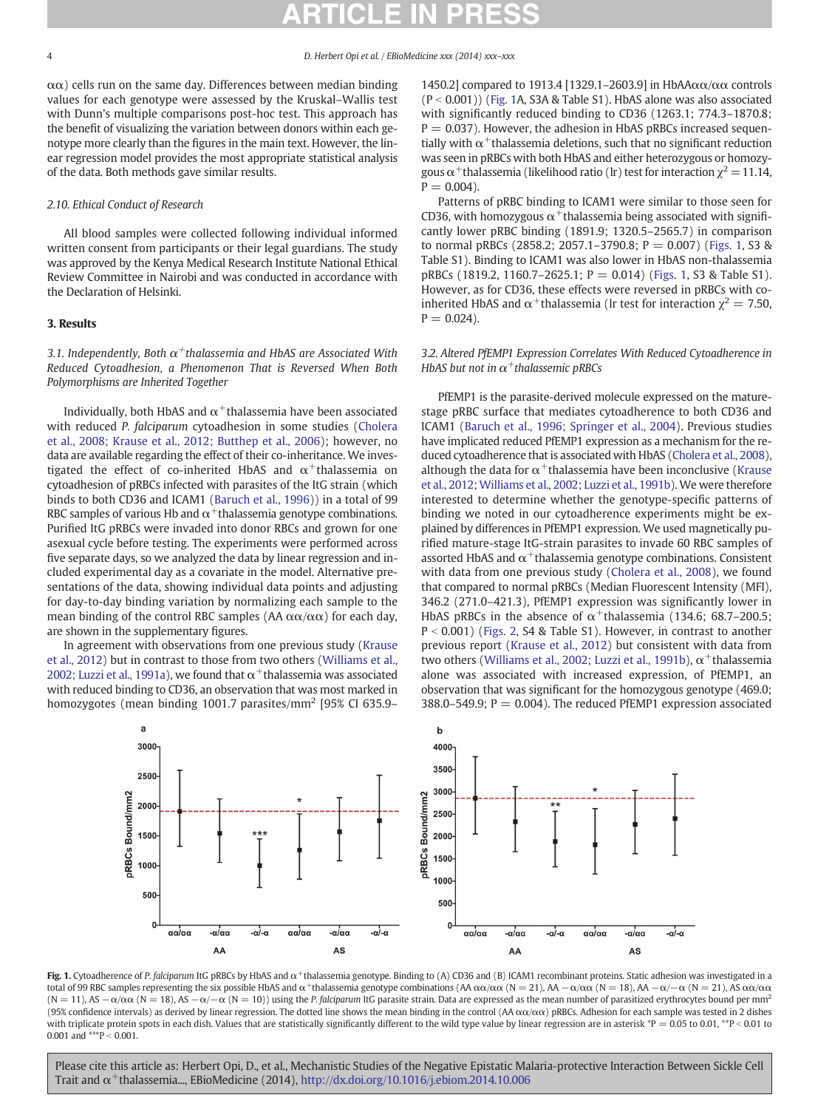<span id="page-3-0"></span> $\alpha\alpha$ ) cells run on the same day. Differences between median binding values for each genotype were assessed by the Kruskal–Wallis test with Dunn's multiple comparisons post-hoc test. This approach has the benefit of visualizing the variation between donors within each genotype more clearly than the figures in the main text. However, the linear regression model provides the most appropriate statistical analysis of the data. Both methods gave similar results.

### 2.10. Ethical Conduct of Research

All blood samples were collected following individual informed written consent from participants or their legal guardians. The study was approved by the Kenya Medical Research Institute National Ethical Review Committee in Nairobi and was conducted in accordance with the Declaration of Helsinki.

#### 3. Results

3.1. Independently, Both  $\alpha^+$ thalassemia and HbAS are Associated With Reduced Cytoadhesion, a Phenomenon That is Reversed When Both Polymorphisms are Inherited Together

Individually, both HbAS and  $\alpha^+$ thalassemia have been associated with reduced P. falciparum cytoadhesion in some studies ([Cholera](#page-6-0) [et al., 2008; Krause et al., 2012; Butthep et al., 2006](#page-6-0)); however, no data are available regarding the effect of their co-inheritance. We investigated the effect of co-inherited HbAS and  $\alpha^+$ thalassemia on cytoadhesion of pRBCs infected with parasites of the ItG strain (which binds to both CD36 and ICAM1 ([Baruch et al., 1996\)](#page-6-0)) in a total of 99 RBC samples of various Hb and  $\alpha^+$ thalassemia genotype combinations. Purified ItG pRBCs were invaded into donor RBCs and grown for one asexual cycle before testing. The experiments were performed across five separate days, so we analyzed the data by linear regression and included experimental day as a covariate in the model. Alternative presentations of the data, showing individual data points and adjusting for day-to-day binding variation by normalizing each sample to the mean binding of the control RBC samples (AA  $\alpha\alpha/\alpha\alpha$ ) for each day, are shown in the supplementary figures.

In agreement with observations from one previous study ([Krause](#page-7-0) [et al., 2012](#page-7-0)) but in contrast to those from two others [\(Williams et al.,](#page-7-0) [2002; Luzzi et al., 1991a](#page-7-0)), we found that  $\alpha^+$ thalassemia was associated with reduced binding to CD36, an observation that was most marked in homozygotes (mean binding 1001.7 parasites/ $\text{mm}^2$  [95% CI 635.9–

AA



1450.2] compared to 1913.4 [1329.1–2603.9] in HbAAαα/αα controls  $(P < 0.001)$ ) (Fig. 1A, S3A & Table S1). HbAS alone was also associated with significantly reduced binding to CD36 (1263.1; 774.3–1870.8;  $P = 0.037$ ). However, the adhesion in HbAS pRBCs increased sequentially with  $\alpha^+$ thalassemia deletions, such that no significant reduction was seen in pRBCs with both HbAS and either heterozygous or homozygous  $\alpha^+$ thalassemia (likelihood ratio (lr) test for interaction  $\chi^2$  = 11.14,  $P = 0.004$ ).

Patterns of pRBC binding to ICAM1 were similar to those seen for CD36, with homozygous  $\alpha^+$ thalassemia being associated with significantly lower pRBC binding (1891.9; 1320.5–2565.7) in comparison to normal pRBCs (2858.2; 2057.1–3790.8;  $P = 0.007$ ) (Figs. 1, S3 & Table S1). Binding to ICAM1 was also lower in HbAS non-thalassemia pRBCs (1819.2, 1160.7–2625.1; P = 0.014) (Figs. 1, S3 & Table S1). However, as for CD36, these effects were reversed in pRBCs with coinherited HbAS and  $\alpha^+$ thalassemia (lr test for interaction  $\chi^2 = 7.50$ ,  $P = 0.024$ .

### 3.2. Altered PfEMP1 Expression Correlates With Reduced Cytoadherence in HbAS but not in  $\alpha^+$ thalassemic pRBCs

PfEMP1 is the parasite-derived molecule expressed on the maturestage pRBC surface that mediates cytoadherence to both CD36 and ICAM1 ([Baruch et al., 1996; Springer et al., 2004\)](#page-6-0). Previous studies have implicated reduced PfEMP1 expression as a mechanism for the reduced cytoadherence that is associated with HbAS ([Cholera et al., 2008\)](#page-6-0), although the data for  $\alpha^+$ thalassemia have been inconclusive [\(Krause](#page-7-0) [et al., 2012; Williams et al., 2002; Luzzi et al., 1991b\)](#page-7-0). We were therefore interested to determine whether the genotype-specific patterns of binding we noted in our cytoadherence experiments might be explained by differences in PfEMP1 expression. We used magnetically purified mature-stage ItG-strain parasites to invade 60 RBC samples of assorted HbAS and  $\alpha^+$ thalassemia genotype combinations. Consistent with data from one previous study ([Cholera et al., 2008\)](#page-6-0), we found that compared to normal pRBCs (Median Fluorescent Intensity (MFI), 346.2 (271.0–421.3), PfEMP1 expression was significantly lower in HbAS pRBCs in the absence of  $\alpha^+$ thalassemia (134.6; 68.7–200.5;  $P < 0.001$ ) [\(Figs. 2,](#page-4-0) S4 & Table S1). However, in contrast to another previous report ([Krause et al., 2012\)](#page-7-0) but consistent with data from two others ([Williams et al., 2002; Luzzi et al., 1991b\)](#page-7-0),  $α^+$ thalassemia alone was associated with increased expression, of PfEMP1, an observation that was significant for the homozygous genotype (469.0; 388.0–549.9;  $P = 0.004$ ). The reduced PfEMP1 expression associated



Fig. 1. Cytoadherence of P. falciparum ItG pRBCs by HbAS and α<sup>+</sup>thalassemia genotype. Binding to (A) CD36 and (B) ICAM1 recombinant proteins. Static adhesion was investigated in a total of 99 RBC samples representing the six possible HbAS and α<sup>+</sup>thalassemia genotype combinations (AA  $\alpha\alpha/\alpha\alpha$  (N = 21), AA  $-\alpha/\alpha\alpha$  (N = 21), AA  $-\alpha/\alpha$  (N = 21), AS  $\alpha\alpha/\alpha\alpha$  $(N = 11)$ , AS  $-\alpha/\alpha\alpha$  (N = 18), AS  $-\alpha/\alpha\alpha$  (N = 10)) using the *P. falciparum* ItG parasite strain. Data are expressed as the mean number of parasitized erythrocytes bound per mm<sup>2</sup> (95% confidence intervals) as derived by linear regression. The dotted line shows the mean binding in the control (AA αα/αα) pRBCs. Adhesion for each sample was tested in 2 dishes with triplicate protein spots in each dish. Values that are statistically significantly different to the wild type value by linear regression are in asterisk \*P = 0.05 to 0.01, \*\*P < 0.01 to 0.001 and \*\*\*  $P \le 0.001$ .

**AS**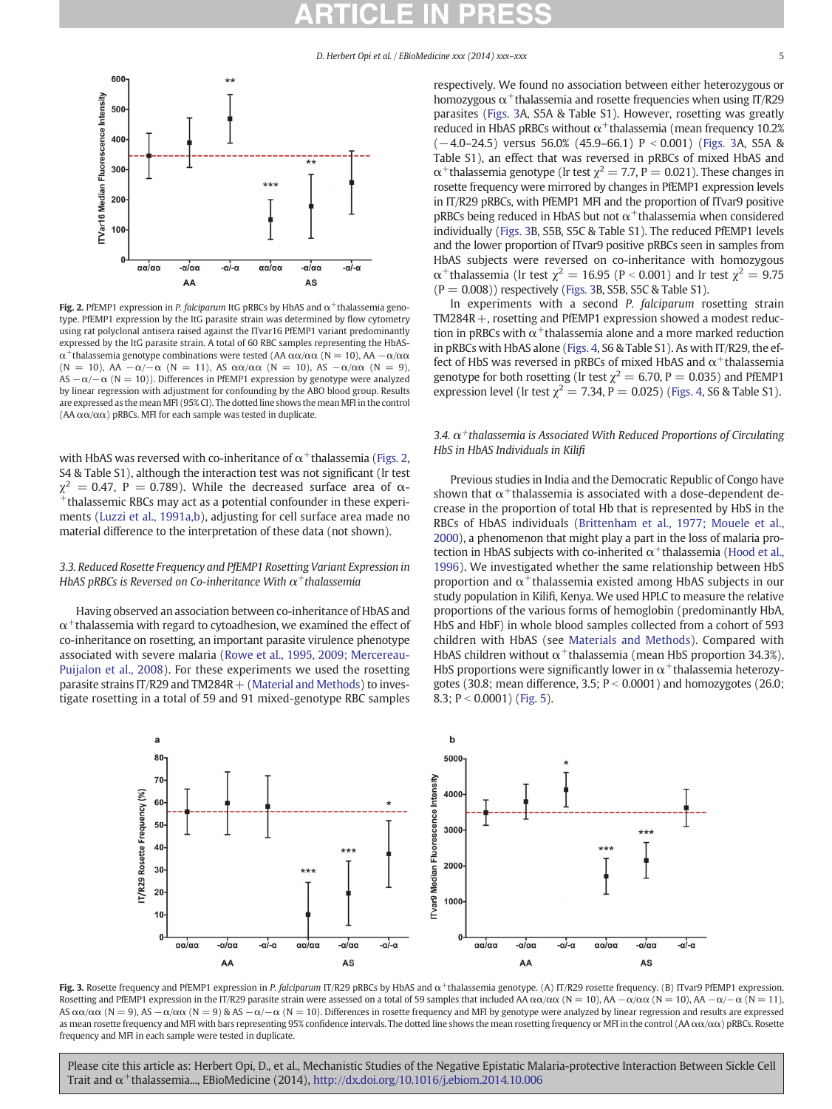<span id="page-4-0"></span>

Fig. 2. PfEMP1 expression in P. falciparum ItG pRBCs by HbAS and  $\alpha^+$ thalassemia genotype. PfEMP1 expression by the ItG parasite strain was determined by flow cytometry using rat polyclonal antisera raised against the ITvar16 PfEMP1 variant predominantly expressed by the ItG parasite strain. A total of 60 RBC samples representing the HbASα<sup>+</sup>thalassemia genotype combinations were tested (AA αα/αα (N = 10), AA  $-\alpha/\alpha\alpha$ (N = 10), AA  $-\alpha$ / $-\alpha$  (N = 11), AS  $\alpha\alpha/\alpha\alpha$  (N = 10), AS  $-\alpha/\alpha\alpha$  (N = 9), AS  $-\alpha/-\alpha$  (N = 10)). Differences in PfEMP1 expression by genotype were analyzed by linear regression with adjustment for confounding by the ABO blood group. Results are expressed as the mean MFI (95% CI). The dotted line shows the mean MFI in the control (AA  $\alpha\alpha/\alpha\alpha$ ) pRBCs. MFI for each sample was tested in duplicate.

with HbAS was reversed with co-inheritance of  $\alpha^+$ thalassemia (Figs. 2, S4 & Table S1), although the interaction test was not significant (lr test  $\chi^2$  = 0.47, P = 0.789). While the decreased surface area of  $\alpha$ -+thalassemic RBCs may act as a potential confounder in these experiments [\(Luzzi et al., 1991a,b](#page-7-0)), adjusting for cell surface area made no material difference to the interpretation of these data (not shown).

### 3.3. Reduced Rosette Frequency and PfEMP1 Rosetting Variant Expression in HbAS pRBCs is Reversed on Co-inheritance With  $\alpha^+$ thalassemia

Having observed an association between co-inheritance of HbAS and  $\alpha^+$ thalassemia with regard to cytoadhesion, we examined the effect of co-inheritance on rosetting, an important parasite virulence phenotype associated with severe malaria ([Rowe et al., 1995, 2009; Mercereau-](#page-7-0)[Puijalon et al., 2008\)](#page-7-0). For these experiments we used the rosetting parasite strains IT/R29 and TM284R  $+$  [\(Material and Methods\)](#page-1-0) to investigate rosetting in a total of 59 and 91 mixed-genotype RBC samples respectively. We found no association between either heterozygous or homozygous  $\alpha^+$ thalassemia and rosette frequencies when using IT/R29 parasites (Figs. 3A, S5A & Table S1). However, rosetting was greatly reduced in HbAS pRBCs without  $\alpha^+$ thalassemia (mean frequency 10.2%)  $(-4.0-24.5)$  versus 56.0% (45.9–66.1) P < 0.001) (Figs. 3A, S5A & Table S1), an effect that was reversed in pRBCs of mixed HbAS and  $\alpha$ <sup>+</sup>thalassemia genotype (lr test  $\chi^2$  = 7.7, P = 0.021). These changes in rosette frequency were mirrored by changes in PfEMP1 expression levels in IT/R29 pRBCs, with PfEMP1 MFI and the proportion of ITvar9 positive pRBCs being reduced in HbAS but not  $\alpha^+$ thalassemia when considered individually (Figs. 3B, S5B, S5C & Table S1). The reduced PfEMP1 levels and the lower proportion of ITvar9 positive pRBCs seen in samples from HbAS subjects were reversed on co-inheritance with homozygous α<sup>+</sup>thalassemia (lr test  $\chi^2$  = 16.95 (P < 0.001) and lr test  $\chi^2$  = 9.75  $(P = 0.008)$ ) respectively (Figs. 3B, S5B, S5C & Table S1).

In experiments with a second P. falciparum rosetting strain TM284R+, rosetting and PfEMP1 expression showed a modest reduction in pRBCs with  $\alpha^+$ thalassemia alone and a more marked reduction in pRBCs with HbAS alone [\(Figs. 4,](#page-5-0) S6 & Table S1). As with IT/R29, the effect of HbS was reversed in pRBCs of mixed HbAS and  $\alpha^+$ thalassemia genotype for both rosetting (lr test  $\chi^2 = 6.70$ , P = 0.035) and PfEMP1 expression level (lr test  $\chi^2 = 7.34$ , P = 0.025) ([Figs. 4,](#page-5-0) S6 & Table S1).

### 3.4.  $\alpha^+$ thalassemia is Associated With Reduced Proportions of Circulating HbS in HbAS Individuals in Kilifi

Previous studies in India and the Democratic Republic of Congo have shown that  $\alpha^+$ thalassemia is associated with a dose-dependent decrease in the proportion of total Hb that is represented by HbS in the RBCs of HbAS individuals ([Brittenham et al., 1977; Mouele et al.,](#page-6-0) [2000](#page-6-0)), a phenomenon that might play a part in the loss of malaria protection in HbAS subjects with co-inherited  $\alpha^+$ thalassemia ([Hood et al.,](#page-7-0) [1996\)](#page-7-0). We investigated whether the same relationship between HbS proportion and  $\alpha^+$ thalassemia existed among HbAS subjects in our study population in Kilifi, Kenya. We used HPLC to measure the relative proportions of the various forms of hemoglobin (predominantly HbA, HbS and HbF) in whole blood samples collected from a cohort of 593 children with HbAS (see [Materials and Methods\)](#page-1-0). Compared with HbAS children without  $\alpha^+$ thalassemia (mean HbS proportion 34.3%), HbS proportions were significantly lower in  $\alpha^+$ thalassemia heterozygotes (30.8; mean difference, 3.5;  $P < 0.0001$ ) and homozygotes (26.0; 8.3;  $P < 0.0001$ ) ([Fig. 5](#page-5-0)).



Fig. 3. Rosette frequency and PfEMP1 expression in P. falciparum IT/R29 pRBCs by HbAS and  $\alpha^+$ thalassemia genotype. (A) IT/R29 rosette frequency. (B) ITvar9 PfEMP1 expression. Rosetting and PfEMP1 expression in the IT/R29 parasite strain were assessed on a total of 59 samples that included AA  $\alpha\alpha/\alpha\alpha$  (N = 10), AA  $-\alpha/\alpha\alpha$  (N = 10), AA  $-\alpha/\alpha$  (N = 11), AS  $\alpha\alpha/\alpha\alpha$  (N = 9), AS  $-\alpha/\alpha\alpha$  (N = 9) & AS  $-\alpha/\alpha\alpha$  (N = 10). Differences in rosette frequency and MFI by genotype were analyzed by linear regression and results are expressed as mean rosette frequency and MFI with bars representing 95% confidence intervals. The dotted line shows the mean rosetting frequency or MFI in the control (ΑΑ αα/αα) pRBCs. Rosette frequency and MFI in each sample were tested in duplicate.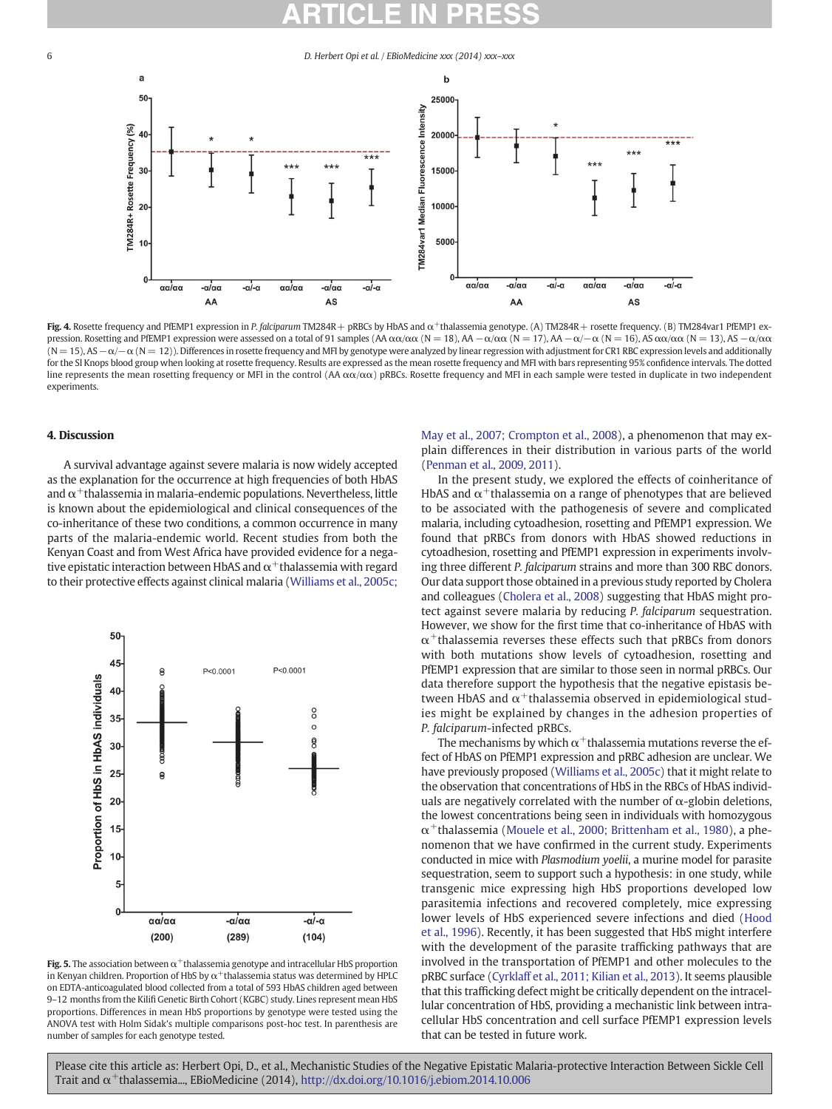#### <span id="page-5-0"></span>6 D. Herbert Opi et al. / EBioMedicine xxx (2014) xxx–xxx



Fig. 4. Rosette frequency and PfEMP1 expression in P. falciparum TM284R + pRBCs by HbAS and  $\alpha^+$ thalassemia genotype. (A) TM284R + rosette frequency. (B) TM284var1 PfEMP1 expression. Rosetting and PfEMP1 expression were assessed on a total of 91 samples (AA αα/αα (N = 18), AA  $-\alpha/\alpha\alpha$  (N = 17), AA  $-\alpha/\alpha$  (N = 16), AS αα/αα (N = 13), AS  $-\alpha/\alpha\alpha$ (N = 15), AS −α/−α (N = 12)). Differences in rosette frequency and MFI by genotype were analyzed by linear regression with adjustment for CR1 RBC expression levels and additionally for the SI Knops blood group when looking at rosette frequency. Results are expressed as the mean rosette frequency and MFI with bars representing 95% confidence intervals. The dotted line represents the mean rosetting frequency or MFI in the control (AA  $\alpha\alpha/\alpha\alpha$ ) pRBCs. Rosette frequency and MFI in each sample were tested in duplicate in two independent experiments.

#### 4. Discussion

A survival advantage against severe malaria is now widely accepted as the explanation for the occurrence at high frequencies of both HbAS and  $\alpha^+$ thalassemia in malaria-endemic populations. Nevertheless, little is known about the epidemiological and clinical consequences of the co-inheritance of these two conditions, a common occurrence in many parts of the malaria-endemic world. Recent studies from both the Kenyan Coast and from West Africa have provided evidence for a negative epistatic interaction between HbAS and  $\alpha^+$ thalassemia with regard to their protective effects against clinical malaria ([Williams et al., 2005c;](#page-7-0)



Fig. 5. The association between  $\alpha^+$ thalassemia genotype and intracellular HbS proportion in Kenyan children. Proportion of HbS by  $\alpha^+$ thalassemia status was determined by HPLC on EDTA-anticoagulated blood collected from a total of 593 HbAS children aged between 9–12 months from the Kilifi Genetic Birth Cohort (KGBC) study. Lines represent mean HbS proportions. Differences in mean HbS proportions by genotype were tested using the ANOVA test with Holm Sidak's multiple comparisons post-hoc test. In parenthesis are number of samples for each genotype tested.

[May et al., 2007; Crompton et al., 2008](#page-7-0)), a phenomenon that may explain differences in their distribution in various parts of the world [\(Penman et al., 2009, 2011\)](#page-7-0).

In the present study, we explored the effects of coinheritance of HbAS and  $\alpha^+$ thalassemia on a range of phenotypes that are believed to be associated with the pathogenesis of severe and complicated malaria, including cytoadhesion, rosetting and PfEMP1 expression. We found that pRBCs from donors with HbAS showed reductions in cytoadhesion, rosetting and PfEMP1 expression in experiments involving three different P. falciparum strains and more than 300 RBC donors. Our data support those obtained in a previous study reported by Cholera and colleagues [\(Cholera et al., 2008](#page-6-0)) suggesting that HbAS might protect against severe malaria by reducing P. falciparum sequestration. However, we show for the first time that co-inheritance of HbAS with  $\alpha^+$ thalassemia reverses these effects such that pRBCs from donors with both mutations show levels of cytoadhesion, rosetting and PfEMP1 expression that are similar to those seen in normal pRBCs. Our data therefore support the hypothesis that the negative epistasis between HbAS and  $\alpha^+$ thalassemia observed in epidemiological studies might be explained by changes in the adhesion properties of P. falciparum-infected pRBCs.

The mechanisms by which  $\alpha^+$ thalassemia mutations reverse the effect of HbAS on PfEMP1 expression and pRBC adhesion are unclear. We have previously proposed ([Williams et al., 2005c\)](#page-7-0) that it might relate to the observation that concentrations of HbS in the RBCs of HbAS individuals are negatively correlated with the number of  $\alpha$ -globin deletions, the lowest concentrations being seen in individuals with homozygous  $\alpha^+$ thalassemia ([Mouele et al., 2000; Brittenham et al., 1980\)](#page-7-0), a phenomenon that we have confirmed in the current study. Experiments conducted in mice with Plasmodium yoelii, a murine model for parasite sequestration, seem to support such a hypothesis: in one study, while transgenic mice expressing high HbS proportions developed low parasitemia infections and recovered completely, mice expressing lower levels of HbS experienced severe infections and died ([Hood](#page-7-0) [et al., 1996](#page-7-0)). Recently, it has been suggested that HbS might interfere with the development of the parasite trafficking pathways that are involved in the transportation of PfEMP1 and other molecules to the pRBC surface ([Cyrklaff et al., 2011; Kilian et al., 2013\)](#page-7-0). It seems plausible that this trafficking defect might be critically dependent on the intracellular concentration of HbS, providing a mechanistic link between intracellular HbS concentration and cell surface PfEMP1 expression levels that can be tested in future work.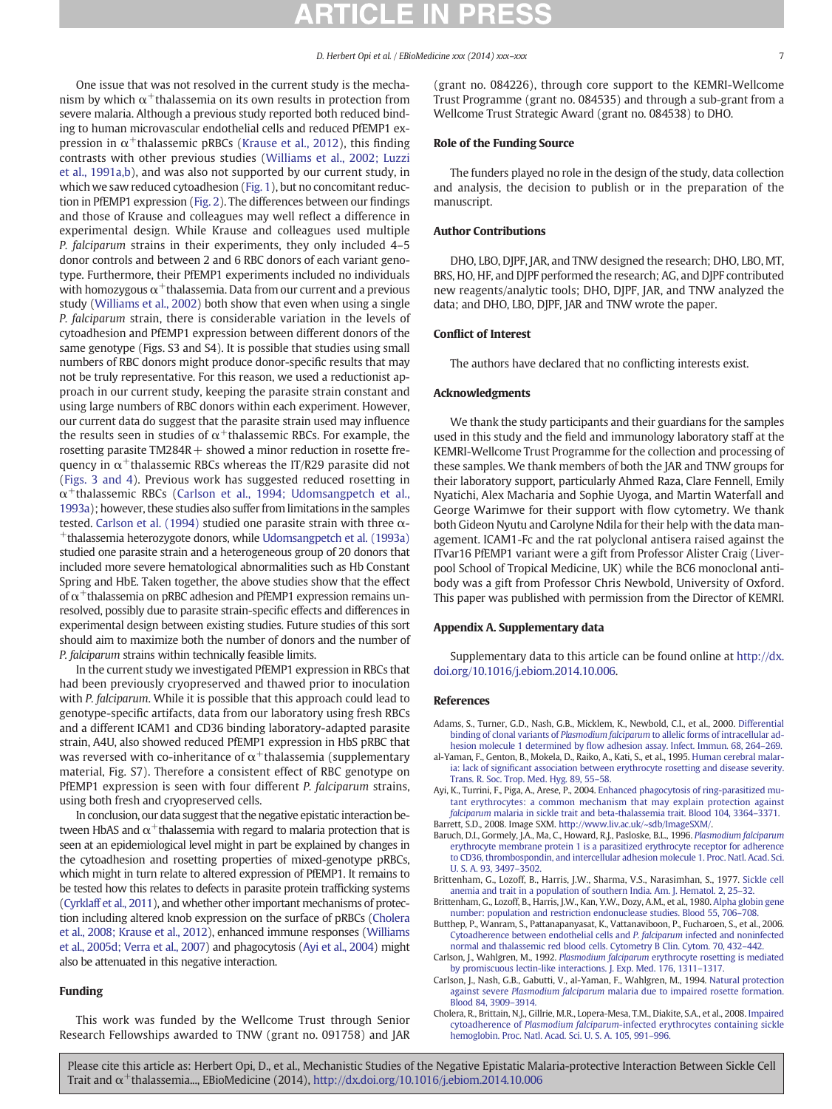#### D. Herbert Opi et al. / EBioMedicine xxx (2014) xxx–xxx 7

<span id="page-6-0"></span>One issue that was not resolved in the current study is the mechanism by which  $\alpha^+$ thalassemia on its own results in protection from severe malaria. Although a previous study reported both reduced binding to human microvascular endothelial cells and reduced PfEMP1 expression in  $\alpha^+$ thalassemic pRBCs [\(Krause et al., 2012\)](#page-7-0), this finding contrasts with other previous studies [\(Williams et al., 2002; Luzzi](#page-7-0) [et al., 1991a,b\)](#page-7-0), and was also not supported by our current study, in which we saw reduced cytoadhesion [\(Fig. 1\)](#page-3-0), but no concomitant reduction in PfEMP1 expression [\(Fig. 2](#page-4-0)). The differences between our findings and those of Krause and colleagues may well reflect a difference in experimental design. While Krause and colleagues used multiple P. falciparum strains in their experiments, they only included 4–5 donor controls and between 2 and 6 RBC donors of each variant genotype. Furthermore, their PfEMP1 experiments included no individuals with homozygous  $\alpha^+$ thalassemia. Data from our current and a previous study [\(Williams et al., 2002\)](#page-7-0) both show that even when using a single P. falciparum strain, there is considerable variation in the levels of cytoadhesion and PfEMP1 expression between different donors of the same genotype (Figs. S3 and S4). It is possible that studies using small numbers of RBC donors might produce donor-specific results that may not be truly representative. For this reason, we used a reductionist approach in our current study, keeping the parasite strain constant and using large numbers of RBC donors within each experiment. However, our current data do suggest that the parasite strain used may influence the results seen in studies of  $\alpha^+$ thalassemic RBCs. For example, the rosetting parasite  $TM284R +$  showed a minor reduction in rosette frequency in  $\alpha^+$ thalassemic RBCs whereas the IT/R29 parasite did not [\(Figs. 3 and 4](#page-4-0)). Previous work has suggested reduced rosetting in  $\alpha$ <sup>+</sup>thalassemic RBCs (Carlson et al., 1994; Udomsangpetch et al., 1993a); however, these studies also suffer from limitations in the samples tested. Carlson et al. (1994) studied one parasite strain with three  $α-$ +thalassemia heterozygote donors, while [Udomsangpetch et al. \(1993a\)](#page-7-0) studied one parasite strain and a heterogeneous group of 20 donors that included more severe hematological abnormalities such as Hb Constant Spring and HbE. Taken together, the above studies show that the effect of  $\alpha$ <sup>+</sup>thalassemia on pRBC adhesion and PfEMP1 expression remains unresolved, possibly due to parasite strain-specific effects and differences in experimental design between existing studies. Future studies of this sort should aim to maximize both the number of donors and the number of P. falciparum strains within technically feasible limits.

In the current study we investigated PfEMP1 expression in RBCs that had been previously cryopreserved and thawed prior to inoculation with P. falciparum. While it is possible that this approach could lead to genotype-specific artifacts, data from our laboratory using fresh RBCs and a different ICAM1 and CD36 binding laboratory-adapted parasite strain, A4U, also showed reduced PfEMP1 expression in HbS pRBC that was reversed with co-inheritance of  $\alpha^+$ thalassemia (supplementary material, Fig. S7). Therefore a consistent effect of RBC genotype on PfEMP1 expression is seen with four different P. falciparum strains, using both fresh and cryopreserved cells.

In conclusion, our data suggest that the negative epistatic interaction between HbAS and  $\alpha^+$ thalassemia with regard to malaria protection that is seen at an epidemiological level might in part be explained by changes in the cytoadhesion and rosetting properties of mixed-genotype pRBCs, which might in turn relate to altered expression of PfEMP1. It remains to be tested how this relates to defects in parasite protein trafficking systems [\(Cyrklaff et al., 2011](#page-7-0)), and whether other important mechanisms of protection including altered knob expression on the surface of pRBCs (Cholera et al., 2008; Krause et al., 2012), enhanced immune responses ([Williams](#page-7-0) [et al., 2005d; Verra et al., 2007\)](#page-7-0) and phagocytosis (Ayi et al., 2004) might also be attenuated in this negative interaction.

### Funding

This work was funded by the Wellcome Trust through Senior Research Fellowships awarded to TNW (grant no. 091758) and JAR (grant no. 084226), through core support to the KEMRI-Wellcome Trust Programme (grant no. 084535) and through a sub-grant from a Wellcome Trust Strategic Award (grant no. 084538) to DHO.

#### Role of the Funding Source

The funders played no role in the design of the study, data collection and analysis, the decision to publish or in the preparation of the manuscript.

#### Author Contributions

DHO, LBO, DJPF, JAR, and TNW designed the research; DHO, LBO, MT, BRS, HO, HF, and DJPF performed the research; AG, and DJPF contributed new reagents/analytic tools; DHO, DJPF, JAR, and TNW analyzed the data; and DHO, LBO, DJPF, JAR and TNW wrote the paper.

#### Conflict of Interest

The authors have declared that no conflicting interests exist.

#### Acknowledgments

We thank the study participants and their guardians for the samples used in this study and the field and immunology laboratory staff at the KEMRI-Wellcome Trust Programme for the collection and processing of these samples. We thank members of both the JAR and TNW groups for their laboratory support, particularly Ahmed Raza, Clare Fennell, Emily Nyatichi, Alex Macharia and Sophie Uyoga, and Martin Waterfall and George Warimwe for their support with flow cytometry. We thank both Gideon Nyutu and Carolyne Ndila for their help with the data management. ICAM1-Fc and the rat polyclonal antisera raised against the ITvar16 PfEMP1 variant were a gift from Professor Alister Craig (Liverpool School of Tropical Medicine, UK) while the BC6 monoclonal antibody was a gift from Professor Chris Newbold, University of Oxford. This paper was published with permission from the Director of KEMRI.

#### Appendix A. Supplementary data

Supplementary data to this article can be found online at [http://dx.](http://dx.doi.org/10.1016/j.ebiom.2014.10.006) [doi.org/10.1016/j.ebiom.2014.10.006.](http://dx.doi.org/10.1016/j.ebiom.2014.10.006)

#### References

- Adams, S., Turner, G.D., Nash, G.B., Micklem, K., Newbold, C.I., et al., 2000. [Differential](http://refhub.elsevier.com/S2352-3964(14)00008-5/rf0160) binding of clonal variants of Plasmodium falciparum [to allelic forms of intracellular ad](http://refhub.elsevier.com/S2352-3964(14)00008-5/rf0160)hesion molecule 1 determined by fl[ow adhesion assay. Infect. Immun. 68, 264](http://refhub.elsevier.com/S2352-3964(14)00008-5/rf0160)–269.
- al-Yaman, F., Genton, B., Mokela, D., Raiko, A., Kati, S., et al., 1995. [Human cerebral malar](http://refhub.elsevier.com/S2352-3964(14)00008-5/rf0245)ia: lack of signifi[cant association between erythrocyte rosetting and disease severity.](http://refhub.elsevier.com/S2352-3964(14)00008-5/rf0245) [Trans. R. Soc. Trop. Med. Hyg. 89, 55](http://refhub.elsevier.com/S2352-3964(14)00008-5/rf0245)–58.
- Ayi, K., Turrini, F., Piga, A., Arese, P., 2004. [Enhanced phagocytosis of ring-parasitized mu](http://refhub.elsevier.com/S2352-3964(14)00008-5/rf0305)[tant erythrocytes: a common mechanism that may explain protection against](http://refhub.elsevier.com/S2352-3964(14)00008-5/rf0305) falciparum [malaria in sickle trait and beta-thalassemia trait. Blood 104, 3364](http://refhub.elsevier.com/S2352-3964(14)00008-5/rf0305)–3371. Barrett, S.D., 2008. Image SXM. <http://www.liv.ac.uk/~sdb/ImageSXM/>.
- Baruch, D.I., Gormely, J.A., Ma, C., Howard, R.J., Pasloske, B.L., 1996. [Plasmodium falciparum](http://refhub.elsevier.com/S2352-3964(14)00008-5/rf0070)
- [erythrocyte membrane protein 1 is a parasitized erythrocyte receptor for adherence](http://refhub.elsevier.com/S2352-3964(14)00008-5/rf0070) [to CD36, thrombospondin, and intercellular adhesion molecule 1. Proc. Natl. Acad. Sci.](http://refhub.elsevier.com/S2352-3964(14)00008-5/rf0070) [U. S. A. 93, 3497](http://refhub.elsevier.com/S2352-3964(14)00008-5/rf0070)–3502.
- Brittenham, G., Lozoff, B., Harris, J.W., Sharma, V.S., Narasimhan, S., 1977. [Sickle cell](http://refhub.elsevier.com/S2352-3964(14)00008-5/rf0260) [anemia and trait in a population of southern India. Am. J. Hematol. 2, 25](http://refhub.elsevier.com/S2352-3964(14)00008-5/rf0260)–32.
- Brittenham, G., Lozoff, B., Harris, J.W., Kan, Y.W., Dozy, A.M., et al., 1980. [Alpha globin gene](http://refhub.elsevier.com/S2352-3964(14)00008-5/rf0285) [number: population and restriction endonuclease studies. Blood 55, 706](http://refhub.elsevier.com/S2352-3964(14)00008-5/rf0285)–708.
- Butthep, P., Wanram, S., Pattanapanyasat, K., Vattanaviboon, P., Fucharoen, S., et al., 2006. [Cytoadherence between endothelial cells and](http://refhub.elsevier.com/S2352-3964(14)00008-5/rf0095) P. falciparum infected and noninfected [normal and thalassemic red blood cells. Cytometry B Clin. Cytom. 70, 432](http://refhub.elsevier.com/S2352-3964(14)00008-5/rf0095)–442.
- Carlson, J., Wahlgren, M., 1992. Plasmodium falciparum [erythrocyte rosetting is mediated](http://refhub.elsevier.com/S2352-3964(14)00008-5/rf0235) [by promiscuous lectin-like interactions. J. Exp. Med. 176, 1311](http://refhub.elsevier.com/S2352-3964(14)00008-5/rf0235)–1317.
- Carlson, J., Nash, G.B., Gabutti, V., al-Yaman, F., Wahlgren, M., 1994. [Natural protection](http://refhub.elsevier.com/S2352-3964(14)00008-5/rf0075) against severe Plasmodium falciparum [malaria due to impaired rosette formation.](http://refhub.elsevier.com/S2352-3964(14)00008-5/rf0075) [Blood 84, 3909](http://refhub.elsevier.com/S2352-3964(14)00008-5/rf0075)–3914.
- Cholera, R., Brittain, N.J., Gillrie, M.R., Lopera-Mesa, T.M., Diakite, S.A., et al., 2008. [Impaired](http://refhub.elsevier.com/S2352-3964(14)00008-5/rf0085) cytoadherence of Plasmodium falciparum[-infected erythrocytes containing sickle](http://refhub.elsevier.com/S2352-3964(14)00008-5/rf0085) [hemoglobin. Proc. Natl. Acad. Sci. U. S. A. 105, 991](http://refhub.elsevier.com/S2352-3964(14)00008-5/rf0085)–996.